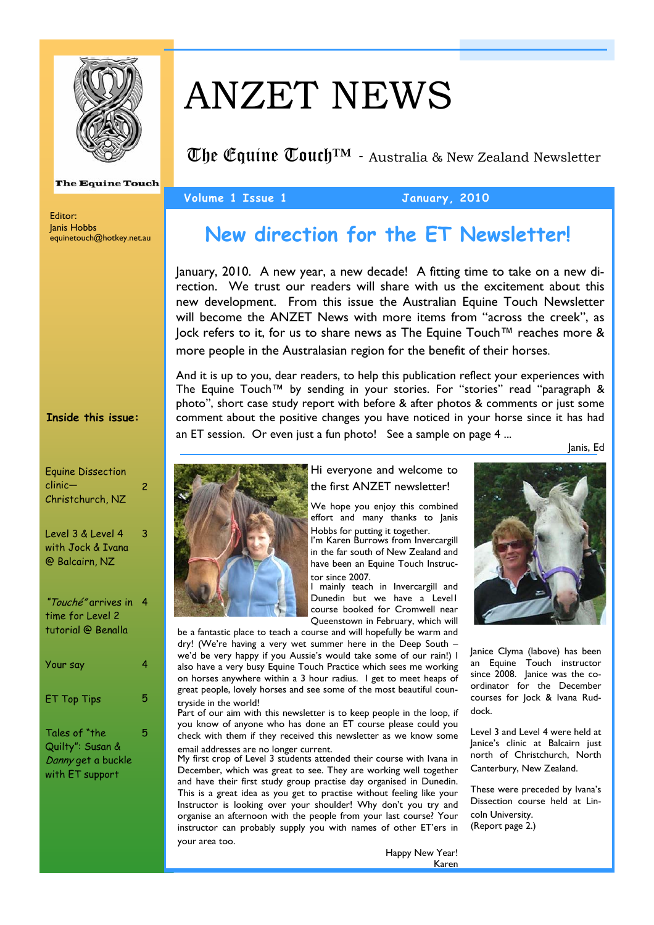

**The Equine Touch** 

Editor: Janis Hobbs equinetouch@hotkey.net.au

#### **Inside this issue:**

| <b>Equine Dissection</b><br>clinic—<br>Christchurch, NZ                    | 2 |
|----------------------------------------------------------------------------|---|
| Level 3 & Level 4<br>with Jock & Ivana<br>@ Balcairn, NZ                   | 3 |
| " <i>Touché"</i> arrives in<br>time for Level 2<br>tutorial @ Benalla      | 4 |
| Your say                                                                   | 4 |
| <b>ET Top Tips</b>                                                         | 5 |
| Tales of "the<br>Quilty": Susan &<br>Danny get a buckle<br>with ET support | 5 |

# ANZET NEWS

The Equine Touch™ - Australia & New Zealand Newsletter

### **Volume 1 Issue 1 January, 2010**

## **New direction for the ET Newsletter!**

January, 2010. A new year, a new decade! A fitting time to take on a new direction. We trust our readers will share with us the excitement about this new development. From this issue the Australian Equine Touch Newsletter will become the ANZET News with more items from "across the creek", as Jock refers to it, for us to share news as The Equine Touch™ reaches more & more people in the Australasian region for the benefit of their horses.

And it is up to you, dear readers, to help this publication reflect your experiences with The Equine Touch™ by sending in your stories. For "stories" read "paragraph & photo", short case study report with before & after photos & comments or just some comment about the positive changes you have noticed in your horse since it has had an ET session. Or even just a fun photo! See a sample on page 4 ...

Janis, Ed



#### Hi everyone and welcome to the first ANZET newsletter!

We hope you enjoy this combined effort and many thanks to Janis

Hobbs for putting it together. I'm Karen Burrows from Invercargill in the far south of New Zealand and have been an Equine Touch Instructor since 2007.

I mainly teach in Invercargill and Dunedin but we have a Level1 course booked for Cromwell near Queenstown in February, which will

be a fantastic place to teach a course and will hopefully be warm and dry! (We're having a very wet summer here in the Deep South – we'd be very happy if you Aussie's would take some of our rain!) I also have a very busy Equine Touch Practice which sees me working on horses anywhere within a 3 hour radius. I get to meet heaps of great people, lovely horses and see some of the most beautiful countryside in the world!

Part of our aim with this newsletter is to keep people in the loop, if you know of anyone who has done an ET course please could you check with them if they received this newsletter as we know some email addresses are no longer current.

My first crop of Level 3 students attended their course with Ivana in December, which was great to see. They are working well together and have their first study group practise day organised in Dunedin. This is a great idea as you get to practise without feeling like your Instructor is looking over your shoulder! Why don't you try and organise an afternoon with the people from your last course? Your instructor can probably supply you with names of other ET'ers in your area too.



Janice Clyma (labove) has been an Equine Touch instructor since 2008. Janice was the coordinator for the December courses for Jock & Ivana Ruddock.

Level 3 and Level 4 were held at lanice's clinic at Balcairn just north of Christchurch, North Canterbury, New Zealand.

These were preceded by Ivana's Dissection course held at Lincoln University. (Report page 2.)

Happy New Year! Karen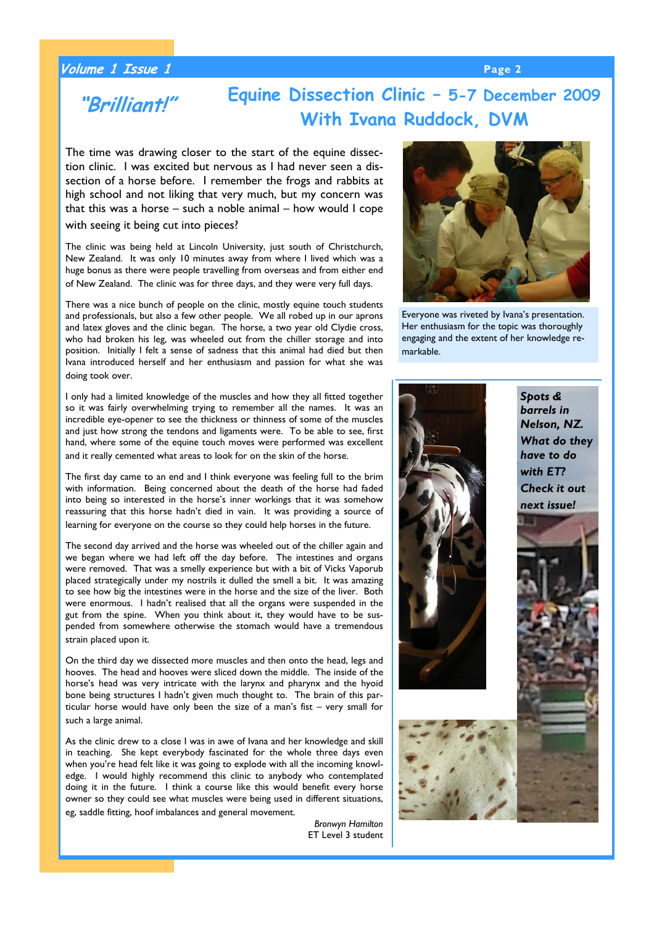### **Volume 1 Issue 1 Page 2**

### **Equine Dissection Clinic – 5-7 December 2009 With Ivana Ruddock, DVM "Brilliant!"**

The time was drawing closer to the start of the equine dissection clinic. I was excited but nervous as I had never seen a dissection of a horse before. I remember the frogs and rabbits at high school and not liking that very much, but my concern was that this was a horse – such a noble animal – how would I cope with seeing it being cut into pieces?

The clinic was being held at Lincoln University, just south of Christchurch, New Zealand. It was only 10 minutes away from where I lived which was a huge bonus as there were people travelling from overseas and from either end of New Zealand. The clinic was for three days, and they were very full days.

There was a nice bunch of people on the clinic, mostly equine touch students and professionals, but also a few other people. We all robed up in our aprons and latex gloves and the clinic began. The horse, a two year old Clydie cross, who had broken his leg, was wheeled out from the chiller storage and into position. Initially I felt a sense of sadness that this animal had died but then Ivana introduced herself and her enthusiasm and passion for what she was doing took over.

I only had a limited knowledge of the muscles and how they all fitted together so it was fairly overwhelming trying to remember all the names. It was an incredible eye-opener to see the thickness or thinness of some of the muscles and just how strong the tendons and ligaments were. To be able to see, first hand, where some of the equine touch moves were performed was excellent and it really cemented what areas to look for on the skin of the horse.

The first day came to an end and I think everyone was feeling full to the brim with information. Being concerned about the death of the horse had faded into being so interested in the horse's inner workings that it was somehow reassuring that this horse hadn't died in vain. It was providing a source of learning for everyone on the course so they could help horses in the future.

The second day arrived and the horse was wheeled out of the chiller again and we began where we had left off the day before. The intestines and organs were removed. That was a smelly experience but with a bit of Vicks Vaporub placed strategically under my nostrils it dulled the smell a bit. It was amazing to see how big the intestines were in the horse and the size of the liver. Both were enormous. I hadn't realised that all the organs were suspended in the gut from the spine. When you think about it, they would have to be suspended from somewhere otherwise the stomach would have a tremendous strain placed upon it.

On the third day we dissected more muscles and then onto the head, legs and hooves. The head and hooves were sliced down the middle. The inside of the horse's head was very intricate with the larynx and pharynx and the hyoid bone being structures I hadn't given much thought to. The brain of this particular horse would have only been the size of a man's fist – very small for such a large animal.

As the clinic drew to a close I was in awe of Ivana and her knowledge and skill in teaching. She kept everybody fascinated for the whole three days even when you're head felt like it was going to explode with all the incoming knowledge. I would highly recommend this clinic to anybody who contemplated doing it in the future. I think a course like this would benefit every horse owner so they could see what muscles were being used in different situations, eg, saddle fitting, hoof imbalances and general movement.

> *Bronwyn Hamilton*  ET Level 3 student



Everyone was riveted by Ivana's presentation. Her enthusiasm for the topic was thoroughly engaging and the extent of her knowledge remarkable.

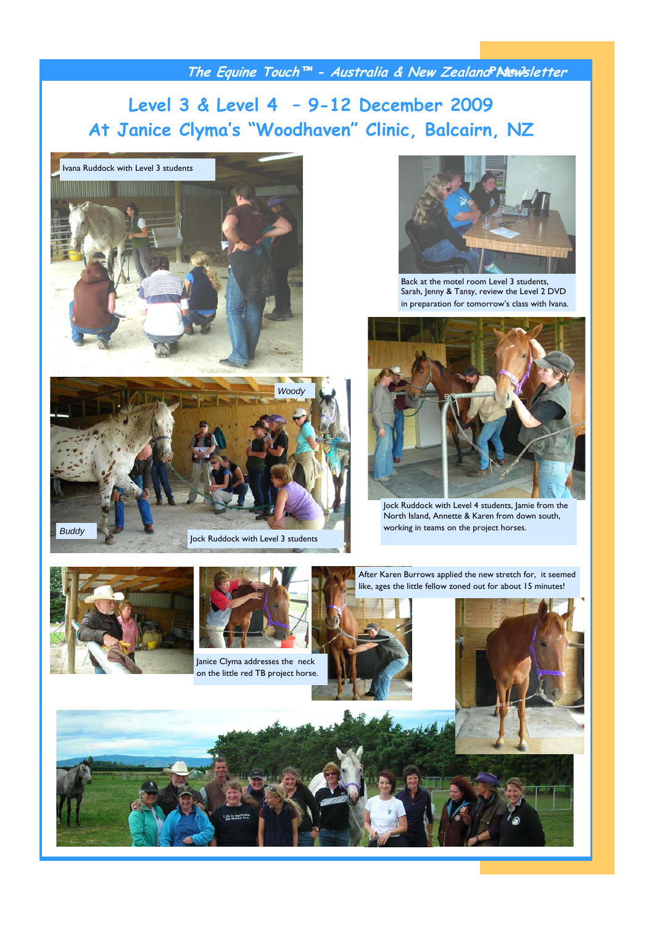**The Equine Touch™ - Australia & New Zealand Newsletter Page 3** 

### **Level 3 & Level 4 – 9-12 December 2009 At Janice Clyma's "Woodhaven" Clinic, Balcairn, NZ**







Back at the motel room Level 3 students, Sarah, Jenny & Tansy, review the Level 2 DVD in preparation for tomorrow's class with Ivana.



Jock Ruddock with Level 4 students, Jamie from the North Island, Annette & Karen from down south, working in teams on the project horses.

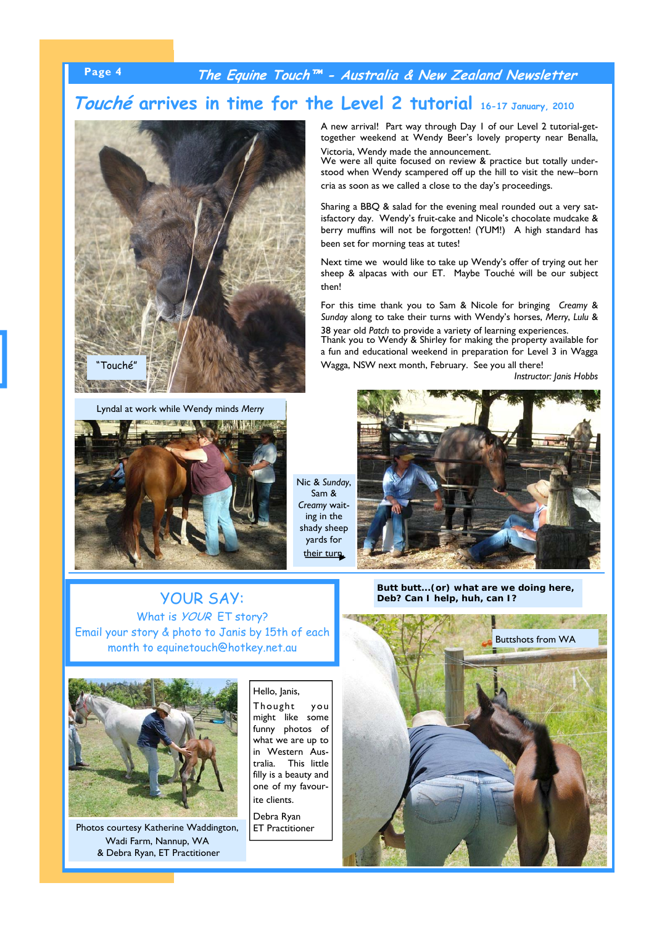### **Page 4 The Equine Touch™ - Australia & New Zealand Newsletter**

### **Touché arrives in time for the Level 2 tutorial 16-17 January, 2010**



Lyndal at work while Wendy minds *Merry* 



Nic & *Sunday*, Sam & *Creamy* waiting in the shady sheep yards for their turn.

A new arrival! Part way through Day 1 of our Level 2 tutorial-gettogether weekend at Wendy Beer's lovely property near Benalla, Victoria, Wendy made the announcement.

We were all quite focused on review & practice but totally understood when Wendy scampered off up the hill to visit the new–born cria as soon as we called a close to the day's proceedings.

Sharing a BBQ & salad for the evening meal rounded out a very satisfactory day. Wendy's fruit-cake and Nicole's chocolate mudcake & berry muffins will not be forgotten! (YUM!) A high standard has been set for morning teas at tutes!

Next time we would like to take up Wendy's offer of trying out her sheep & alpacas with our ET. Maybe Touché will be our subject then!

For this time thank you to Sam & Nicole for bringing *Creamy* & *Sunday* along to take their turns with Wendy's horses, *Merry*, *Lulu* & 38 year old *Patch* to provide a variety of learning experiences. Thank you to Wendy & Shirley for making the property available for a fun and educational weekend in preparation for Level 3 in Wagga

Wagga, NSW next month, February. See you all there!

*Instructor: Janis Hobbs*



*Butt butt...(or) what are we doing here, Deb? Can I help, huh, can I?*

### YOUR SAY: What is *YOUR* ET story? Email your story & photo to Janis by 15th of each month to equinetouch@hotkey.net.au



Photos courtesy Katherine Waddington, Wadi Farm, Nannup, WA & Debra Ryan, ET Practitioner

Hello, Janis, Thought you might like some funny photos of what we are up to in Western Australia. This little filly is a beauty and one of my favourite clients.

Debra Ryan ET Practitioner